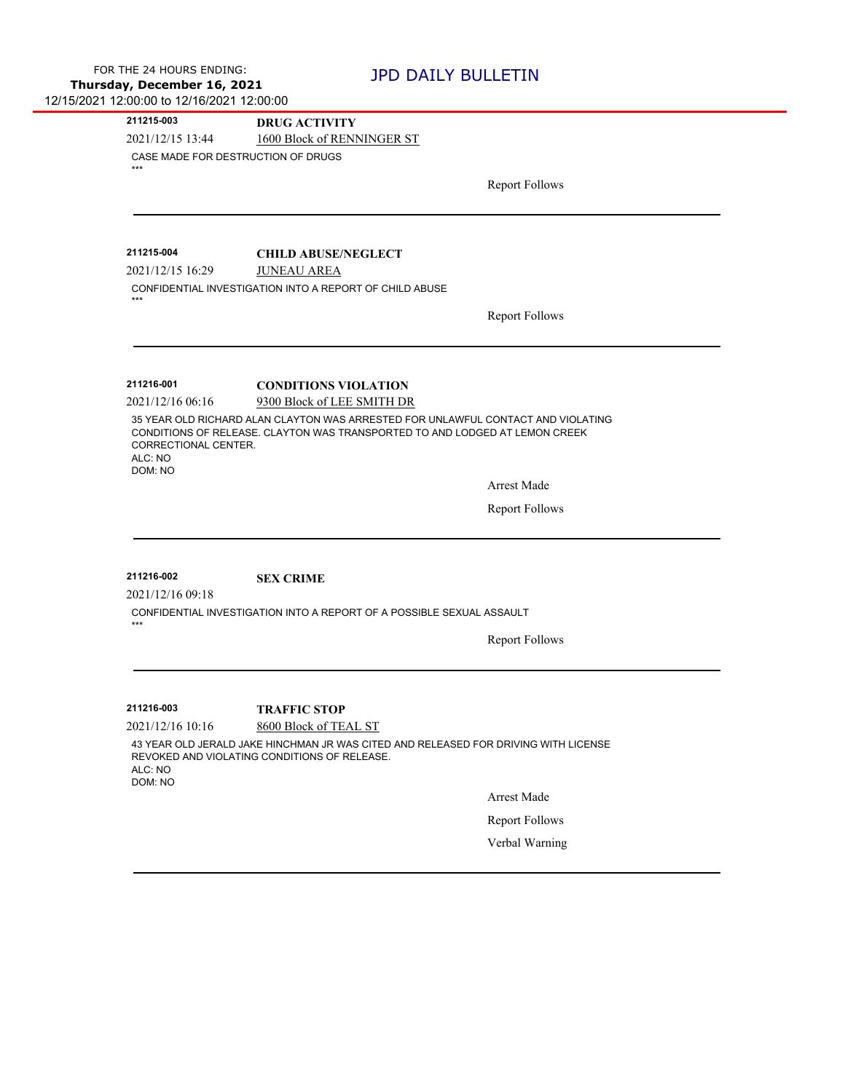**211215-003 DRUG ACTIVITY**

2021/12/15 13:44 1600 Block of RENNINGER ST

CASE MADE FOR DESTRUCTION OF DRUGS \*\*\*

Report Follows

\*\*\*

**211215-004 CHILD ABUSE/NEGLECT**

2021/12/15 16:29 JUNEAU AREA

CONFIDENTIAL INVESTIGATION INTO A REPORT OF CHILD ABUSE

Report Follows

**211216-001 CONDITIONS VIOLATION**

2021/12/16 06:16 9300 Block of LEE SMITH DR

35 YEAR OLD RICHARD ALAN CLAYTON WAS ARRESTED FOR UNLAWFUL CONTACT AND VIOLATING CONDITIONS OF RELEASE. CLAYTON WAS TRANSPORTED TO AND LODGED AT LEMON CREEK CORRECTIONAL CENTER. ALC: NO DOM: NO

Arrest Made

Report Follows

## **211216-002 SEX CRIME**

2021/12/16 09:18

CONFIDENTIAL INVESTIGATION INTO A REPORT OF A POSSIBLE SEXUAL ASSAULT

Report Follows

\*\*\*

**211216-003 TRAFFIC STOP**

2021/12/16 10:16 8600 Block of TEAL ST

43 YEAR OLD JERALD JAKE HINCHMAN JR WAS CITED AND RELEASED FOR DRIVING WITH LICENSE REVOKED AND VIOLATING CONDITIONS OF RELEASE. ALC: NO DOM: NO

Arrest Made

Report Follows

Verbal Warning